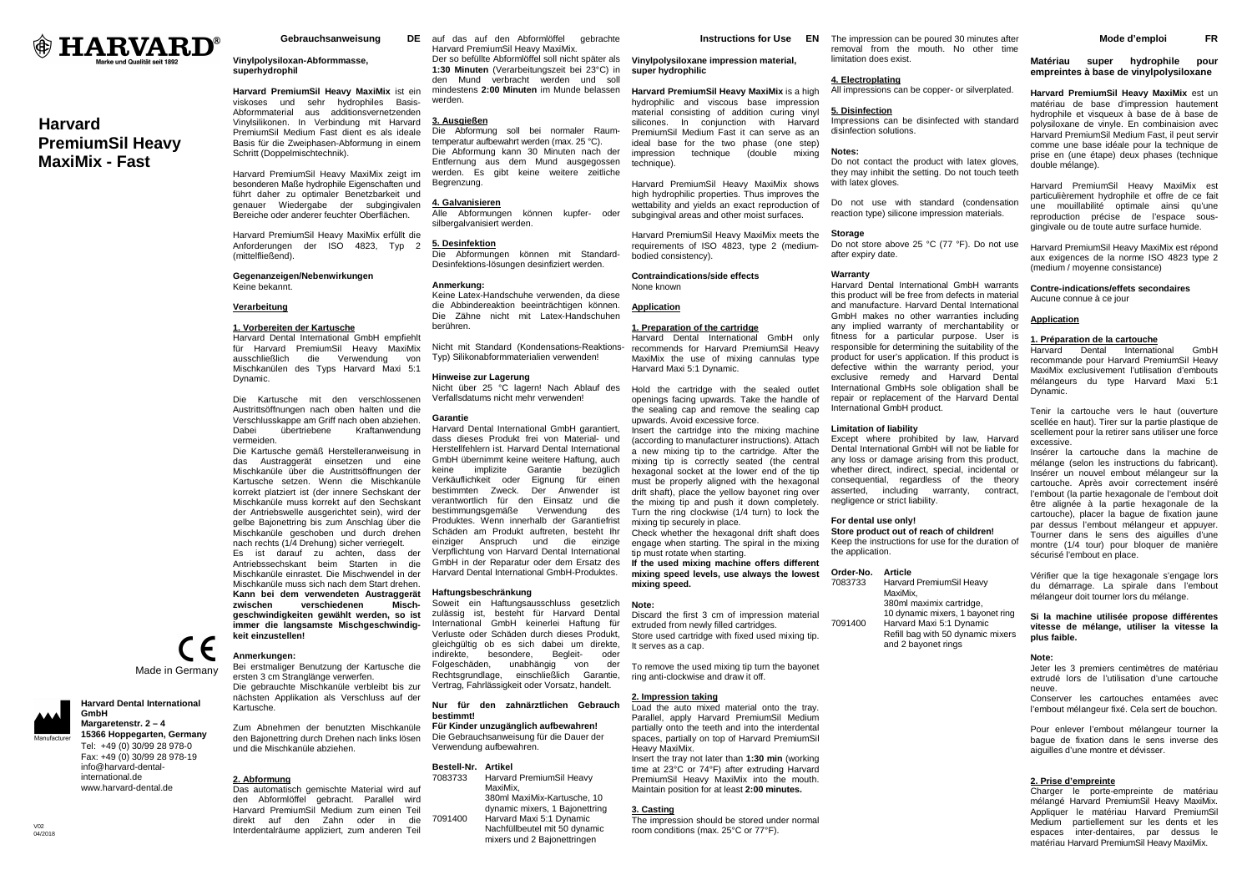

# **Harvard PremiumSil Heavy MaxiMix - Fast**

Gebrauchsanweisung

# **Vinylpolysiloxan-Abformmasse, superhydrophil**

**Harvard PremiumSil Heavy MaxiMix** ist ein viskoses und sehr hydrophiles Basis-Abformmaterial aus additionsvernetzenden Vinylsilikonen. In Verbindung mit Harvard PremiumSil Medium Fast dient es als ideale Basis für die Zweiphasen-Abformung in einem Schritt (Doppelmischtechnik).

Harvard PremiumSil Heavy MaxiMix zeigt im besonderen Maße hydrophile Eigenschaften und führt daher zu optimaler Benetzbarkeit und genauer Wiedergabe der subgingivalen Bereiche oder anderer feuchter Oberflächen.

Harvard PremiumSil Heavy MaxiMix erfüllt die Anforderungen der ISO 4823, Typ 2 (mittelfließend).

# **Gegenanzeigen/Nebenwirkungen** Keine bekannt.

#### **Verarbeitung**

#### **1. Vorbereiten der Kartusche**

 Harvard Dental International GmbH empfiehlt für Harvard PremiumSil Heavy MaxiMix ausschließlich die Verwendung von Mischkanülen des Typs Harvard Maxi 5:1 Dynamic.

Die Kartusche mit den verschlossenen Austrittsöffnungen nach oben halten und die Verschlusskappe am Griff nach oben abziehen. Dabei übertriebene Kraftanwendung vermeiden.

 Die Kartusche gemäß Herstelleranweisung in das Austraggerät einsetzen und eine Mischkanüle über die Austrittsöffnungen der Kartusche setzen. Wenn die Mischkanüle korrekt platziert ist (der innere Sechskant der Mischkanüle muss korrekt auf den Sechskant der Antriebswelle ausgerichtet sein), wird der gelbe Bajonettring bis zum Anschlag über die Mischkanüle geschoben und durch drehen nach rechts (1/4 Drehung) sicher verriegelt. Es ist darauf zu achten, dass der Antriebssechskant beim Starten in die Mischkanüle einrastet. Die Mischwendel in der Mischkanüle muss sich nach dem Start drehen. **Kann bei dem verwendeten Austraggerät** 

Mischzwischen verschiedenen **geschwindigkeiten gewählt werden, so ist immer die langsamste Mischgeschwindigkeit einzustellen!** 

Zum Abnehmen der benutzten Mischkanüle

ersten 3 cm Stranglänge verwerfen. Die gebrauchte Mischkanüle verbleibt bis zur nächsten Applikation als Verschluss auf der

# **Anmerkungen:** Bei erstmaliger Benutzung der Kartusche die

Kartusche.

**2. Abformung**

Made in Germany

C E

**Harvard Dental International GmbH Margaretenstr. 2 – 4** 

 **15366 Hoppegarten, Germany**Tel: +49 (0) 30/99 28 978-0 Fax: +49 (0) 30/99 28 978-19 info@harvard-dentalinternational.de www.harvard-dental.de

 Das automatisch gemischte Material wird auf den Abformlöffel gebracht. Parallel wird Harvard PremiumSil Medium zum einen Teil direkt auf den Zahn oder in die Interdentalräume appliziert, zum anderen Teil

DE auf das auf den Abformlöffel gebrachte Harvard PremiumSil Heavy MaxiMix. Der so befüllte Abformlöffel soll nicht später als **1:30 Minuten** (Verarbeitungszeit bei 23°C) in den Mund verbracht werden und soll mindestens **2:00 Minuten** im Munde belassen werden. **Vinylpolysiloxane impression material, super hydrophilic Harvard PremiumSil Heavy MaxiMix** is a high

# **3. Ausgießen**

 Die Abformung soll bei normaler Raumtemperatur aufbewahrt werden (max. 25 °C). Die Abformung kann 30 Minuten nach der Entfernung aus dem Mund ausgegossen werden. Es gibt keine weitere zeitliche Begrenzung.

#### **4. Galvanisieren**

 Alle Abformungen können kupfer- oder silbergalvanisiert werden.

#### **5. Desinfektion**

 Die Abformungen können mit Standard-Desinfektions-lösungen desinfiziert werden.

#### **Anmerkung:**

 Keine Latex-Handschuhe verwenden, da diese die Abbindereaktion beeinträchtigen können. Die Zähne nicht mit Latex-Handschuhen berühren.

Nicht mit Standard (Kondensations-Reaktions- recommends for Harvard PremiumSil Heavy Typ) Silikonabformmaterialien verwenden!

# **Hinweise zur Lagerung**

 Nicht über 25 °C lagern! Nach Ablauf des Hold the cartridge with the sealed outlet Verfallsdatums nicht mehr verwenden!

# **Garantie**

 Harvard Dental International GmbH garantiert, dass dieses Produkt frei von Material- und Herstellfehlern ist. Harvard Dental International GmbH übernimmt keine weitere Haftung, auch keine implizite Garantie bezüglich Verkäuflichkeit oder Eignung für einen bestimmten Zweck. Der Anwender ist verantwortlich für den Einsatz und die bestimmungsgemäße Verwendung des Produktes. Wenn innerhalb der Garantiefrist Schäden am Produkt auftreten, besteht Ihr einziger Anspruch und die einzige Verpflichtung von Harvard Dental International GmbH in der Reparatur oder dem Ersatz des Harvard Dental International GmbH-Produktes.

# **Haftungsbeschränkung**

 Soweit ein Haftungsausschluss gesetzlich zulässig ist, besteht für Harvard Dental International GmbH keinerlei Haftung für Verluste oder Schäden durch dieses Produkt, gleichgültig ob es sich dabei um direkte, indirekte, besondere, Begleit- oder Folgeschäden, unabhängig von der Rechtsgrundlage, einschließlich Garantie, Vertrag, Fahrlässigkeit oder Vorsatz, handelt.

**Nur für den zahnärztlichen Gebrauch bestimmt!** 

# **Für Kinder unzugänglich aufbewahren!**

 Die Gebrauchsanweisung für die Dauer der Verwendung aufbewahren.

# **Bestell-Nr. Artikel**

 7083733 Harvard PremiumSil Heavy MaxiMix, 380ml MaxiMix-Kartusche, 10 dynamic mixers, 1 Bajonettring 7091400 Harvard Maxi 5:1 Dynamic Nachfüllbeutel mit 50 dynamic mixers und 2 Bajonettringen

**Instructions for Use EN** The impression can be poured 30 minutes after

 material consisting of addition curing vinyl silicones. In conjunction with Harvard PremiumSil Medium Fast it can serve as an ideal base for the two phase (one step) impression technique (double mixing

Harvard PremiumSil Heavy MaxiMix shows high hydrophilic properties. Thus improves the wettability and yields an exact reproduction of subgingival areas and other moist surfaces. Harvard PremiumSil Heavy MaxiMix meets the requirements of ISO 4823, type 2 (medium-

technique).

bodied consistency).

None known **Application**

**Contraindications/side effects** 

**1. Preparation of the cartridge**

upwards. Avoid excessive force.

mixing tip securely in place.

tip must rotate when starting.

**mixing speed. Note:** 

It serves as a cap.

**2. Impression taking**

Heavy MaxiMix.

**3. Casting**

 Insert the cartridge into the mixing machine (according to manufacturer instructions). Attach a new mixing tip to the cartridge. After the mixing tip is correctly seated (the central hexagonal socket at the lower end of the tip must be properly aligned with the hexagonal drift shaft), place the yellow bayonet ring over the mixing tip and push it down completely. Turn the ring clockwise (1/4 turn) to lock the

 Check whether the hexagonal drift shaft does engage when starting. The spiral in the mixing

 **If the used mixing machine offers different mixing speed levels, use always the lowest** 

 Discard the first 3 cm of impression material extruded from newly filled cartridges. Store used cartridge with fixed used mixing tip.

To remove the used mixing tip turn the bayonet ring anti-clockwise and draw it off.

 Load the auto mixed material onto the tray. Parallel, apply Harvard PremiumSil Medium partially onto the teeth and into the interdental spaces, partially on top of Harvard PremiumSil

 Insert the tray not later than **1:30 min** (working time at 23°C or 74°F) after extruding Harvard PremiumSil Heavy MaxiMix into the mouth. Maintain position for at least **2:00 minutes.**

 The impression should be stored under normal room conditions (max. 25°C or 77°F).

Harvard Maxi 5:1 Dynamic.

 removal from the mouth. No other time limitation does exist.

# **4. Electroplating**

 hydrophilic and viscous base impression All impressions can be copper- or silverplated.

# **5. Disinfection**

 Impressions can be disinfected with standard disinfection solutions.

# **Notes:**

 Do not contact the product with latex gloves, they may inhibit the setting. Do not touch teeth with latex gloves.

Do not use with standard (condensation reaction type) silicone impression materials.

#### **Storage**

 Do not store above 25 °C (77 °F). Do not use after expiry date.

#### **Warranty**

 Harvard Dental International GmbH only MaxiMix the use of mixing cannulas type openings facing upwards. Take the handle of the sealing cap and remove the sealing cap Harvard Dental International GmbH warrants this product will be free from defects in material and manufacture. Harvard Dental International GmbH makes no other warranties including any implied warranty of merchantability or fitness for a particular purpose. User is responsible for determining the suitability of the product for user's application. If this product is defective within the warranty period, your exclusive remedy and Harvard Dental International GmbHs sole obligation shall be repair or replacement of the Harvard Dental International GmbH product.

# **Limitation of liability**

 Except where prohibited by law, Harvard Dental International GmbH will not be liable for any loss or damage arising from this product, whether direct, indirect, special, incidental or consequential, regardless of the theory asserted, including warranty, contract, negligence or strict liability.

# **For dental use only!**

 **Store product out of reach of children!**  Keep the instructions for use for the duration of the application.

#### **Order-No. Article**

 7083733 Harvard PremiumSil Heavy MaxiMix, 380ml maximix cartridge, 10 dynamic mixers, 1 bayonet ring 7091400 Harvard Maxi 5:1 Dynamic Refill bag with 50 dynamic mixers and 2 bayonet rings

**Matériau super hydrophile pour empreintes à base de vinylpolysiloxane** 

**Mode d'emploi FR**

**Harvard PremiumSil Heavy MaxiMix** est un matériau de base d'impression hautement hydrophile et visqueux à base de à base de polysiloxane de vinyle. En combinaision avec Harvard PremiumSil Medium Fast, il peut servir comme une base idéale pour la technique de prise en (une étape) deux phases (technique double mélange).

Harvard PremiumSil Heavy MaxiMix est particulièrement hydrophile et offre de ce fait une mouillabilité optimale ainsi qu'une reproduction précise de l'espace sousgingivale ou de toute autre surface humide.

Harvard PremiumSil Heavy MaxiMix est répond aux exigences de la norme ISO 4823 type 2 (medium / moyenne consistance)

# **Contre-indications/effets secondaires**

Aucune connue à ce jour

# **Application**

# **1. Préparation de la cartouche**

 Harvard Dental International GmbH recommande pour Harvard PremiumSil Heavy MaxiMix exclusivement l'utilisation d'embouts mélangeurs du type Harvard Maxi 5:1 Dynamic.

Tenir la cartouche vers le haut (ouverture scellée en haut). Tirer sur la partie plastique de scellement pour la retirer sans utiliser une force excessive.

 Insérer la cartouche dans la machine de mélange (selon les instructions du fabricant). Insérer un nouvel embout mélangeur sur la cartouche. Après avoir correctement inséré l'embout (la partie hexagonale de l'embout doit être alignée à la partie hexagonale de la cartouche), placer la bague de fixation jaune par dessus l'embout mélangeur et appuyer. Tourner dans le sens des aiguilles d'une montre (1/4 tour) pour bloquer de manière sécurisé l'embout en place.

Vérifier que la tige hexagonale s'engage lors du démarrage. La spirale dans l'embout mélangeur doit tourner lors du mélange.

# **Si la machine utilisée propose différentes vitesse de mélange, utiliser la vitesse la plus faible.**

# **Note:**

 Jeter les 3 premiers centimètres de matériau extrudé lors de l'utilisation d'une cartouche neuve.

 Conserver les cartouches entamées avec l'embout mélangeur fixé. Cela sert de bouchon.

Pour enlever l'embout mélangeur tourner la bague de fixation dans le sens inverse des aiguilles d'une montre et dévisser.

# **2. Prise d'empreinte**

 Charger le porte-empreinte de matériau mélangé Harvard PremiumSil Heavy MaxiMix. Appliquer le matériau Harvard PremiumSil Medium partiellement sur les dents et les espaces inter-dentaires, par dessus le matériau Harvard PremiumSil Heavy MaxiMix.

# den Bajonettring durch Drehen nach links lösen und die Mischkanüle abziehen.

V02 04/2018